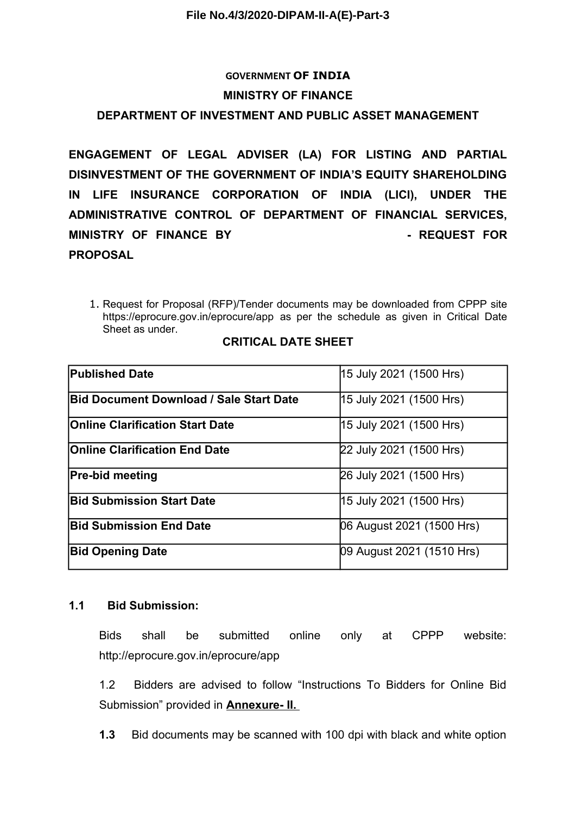# **GOVERNMENT OF INDIA MINISTRY OF FINANCE**

## **DEPARTMENT OF INVESTMENT AND PUBLIC ASSET MANAGEMENT**

**ENGAGEMENT OF LEGAL ADVISER (LA) FOR LISTING AND PARTIAL DISINVESTMENT OF THE GOVERNMENT OF INDIA'S EQUITY SHAREHOLDING IN LIFE INSURANCE CORPORATION OF INDIA (LICI), UNDER THE ADMINISTRATIVE CONTROL OF DEPARTMENT OF FINANCIAL SERVICES, MINISTRY OF FINANCE BY THE PUBLIC PUBLIC PUBLIC PUBLIC PUBLIC PUBLIC PUBLIC PUBLIC PUBLIC PUBLIC PUBLIC PUBLIC PUBLIC PUBLIC PUBLIC PUBLIC PUBLIC PUBLIC PUBLIC PUBLIC PUBLIC PUBLIC PUBLIC PUBLIC PUBLIC PUBLIC PUBLIC PUBLI PROPOSAL**

1. Request for Proposal (RFP)/Tender documents may be downloaded from CPPP site https://eprocure.gov.in/eprocure/app as per the schedule as given in Critical Date Sheet as under.

| <b>Published Date</b>                          | 15 July 2021 (1500 Hrs)   |
|------------------------------------------------|---------------------------|
| <b>Bid Document Download / Sale Start Date</b> | 15 July 2021 (1500 Hrs)   |
| <b>Online Clarification Start Date</b>         | 15 July 2021 (1500 Hrs)   |
| <b>Online Clarification End Date</b>           | 22 July 2021 (1500 Hrs)   |
| <b>Pre-bid meeting</b>                         | 26 July 2021 (1500 Hrs)   |
| <b>Bid Submission Start Date</b>               | 15 July 2021 (1500 Hrs)   |
| <b>Bid Submission End Date</b>                 | 06 August 2021 (1500 Hrs) |
| <b>Bid Opening Date</b>                        | 09 August 2021 (1510 Hrs) |

#### **CRITICAL DATE SHEET**

#### **1.1 Bid Submission:**

Bids shall be submitted online only at CPPP website: http://eprocure.gov.in/eprocure/app

1.2 Bidders are advised to follow "Instructions To Bidders for Online Bid Submission" provided in **Annexure- II.** 

**1.3** Bid documents may be scanned with 100 dpi with black and white option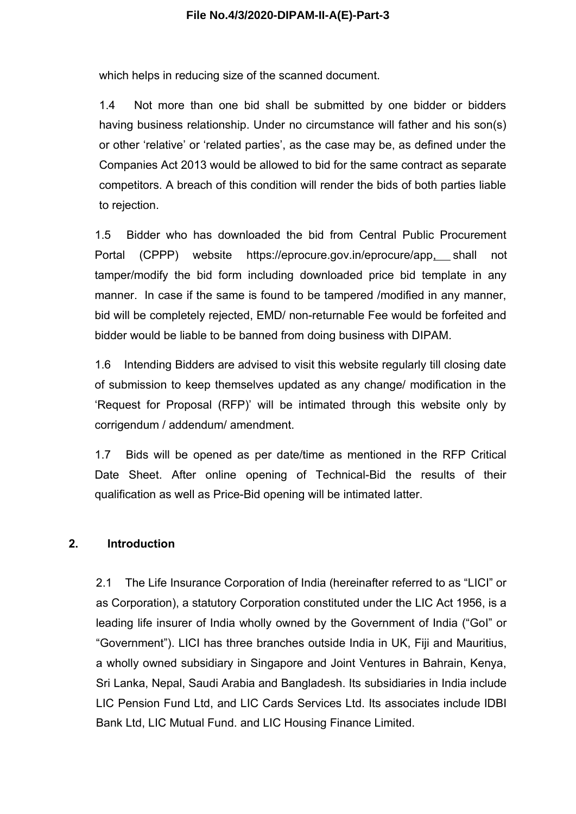which helps in reducing size of the scanned document.

1.4 Not more than one bid shall be submitted by one bidder or bidders having business relationship. Under no circumstance will father and his son(s) or other 'relative' or 'related parties', as the case may be, as defined under the Companies Act 2013 would be allowed to bid for the same contract as separate competitors. A breach of this condition will render the bids of both parties liable to rejection.

1.5 Bidder who has downloaded the bid from Central Public Procurement Portal (CPPP) website https://eprocure.gov.in/eprocure/app, shall not tamper/modify the bid form including downloaded price bid template in any manner. In case if the same is found to be tampered /modified in any manner, bid will be completely rejected, EMD/ non-returnable Fee would be forfeited and bidder would be liable to be banned from doing business with DIPAM.

1.6 Intending Bidders are advised to visit this website regularly till closing date of submission to keep themselves updated as any change/ modification in the 'Request for Proposal (RFP)' will be intimated through this website only by corrigendum / addendum/ amendment.

1.7 Bids will be opened as per date/time as mentioned in the RFP Critical Date Sheet. After online opening of Technical-Bid the results of their qualification as well as Price-Bid opening will be intimated latter.

#### **2. Introduction**

2.1 The Life Insurance Corporation of India (hereinafter referred to as "LICI" or as Corporation), a statutory Corporation constituted under the LIC Act 1956, is a leading life insurer of India wholly owned by the Government of India ("GoI" or "Government"). LICI has three branches outside India in UK, Fiji and Mauritius, a wholly owned subsidiary in Singapore and Joint Ventures in Bahrain, Kenya, Sri Lanka, Nepal, Saudi Arabia and Bangladesh. Its subsidiaries in India include LIC Pension Fund Ltd, and LIC Cards Services Ltd. Its associates include IDBI Bank Ltd, LIC Mutual Fund. and LIC Housing Finance Limited.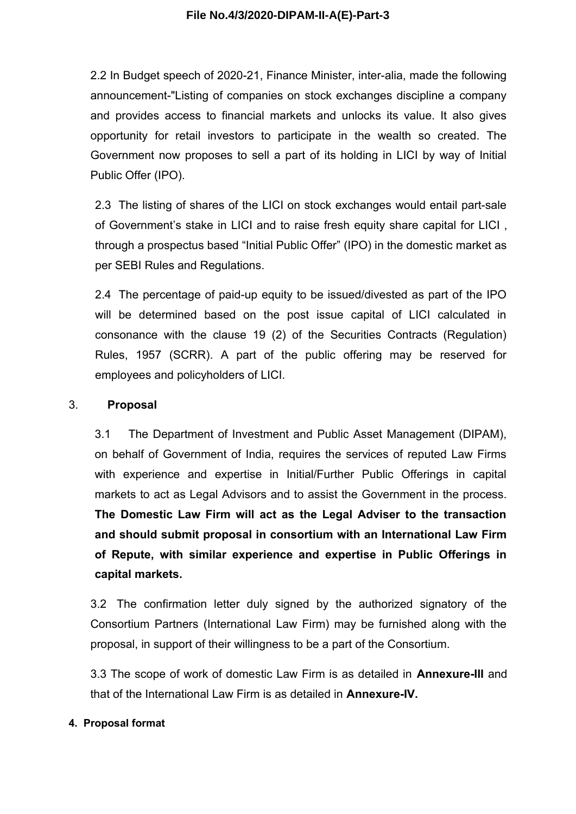2.2 In Budget speech of 2020-21, Finance Minister, inter-alia, made the following announcement-"Listing of companies on stock exchanges discipline a company and provides access to financial markets and unlocks its value. It also gives opportunity for retail investors to participate in the wealth so created. The Government now proposes to sell a part of its holding in LICI by way of Initial Public Offer (IPO).

2.3 The listing of shares of the LICI on stock exchanges would entail part-sale of Government's stake in LICI and to raise fresh equity share capital for LICI , through a prospectus based "Initial Public Offer" (IPO) in the domestic market as per SEBI Rules and Regulations.

2.4 The percentage of paid-up equity to be issued/divested as part of the IPO will be determined based on the post issue capital of LICI calculated in consonance with the clause 19 (2) of the Securities Contracts (Regulation) Rules, 1957 (SCRR). A part of the public offering may be reserved for employees and policyholders of LICI.

#### 3. **Proposal**

3.1 The Department of Investment and Public Asset Management (DIPAM), on behalf of Government of India, requires the services of reputed Law Firms with experience and expertise in Initial/Further Public Offerings in capital markets to act as Legal Advisors and to assist the Government in the process. **The Domestic Law Firm will act as the Legal Adviser to the transaction and should submit proposal in consortium with an International Law Firm of Repute, with similar experience and expertise in Public Offerings in capital markets.** 

3.2 The confirmation letter duly signed by the authorized signatory of the Consortium Partners (International Law Firm) may be furnished along with the proposal, in support of their willingness to be a part of the Consortium.

3.3 The scope of work of domestic Law Firm is as detailed in **Annexure-III** and that of the International Law Firm is as detailed in **Annexure-IV.**

#### **4. Proposal format**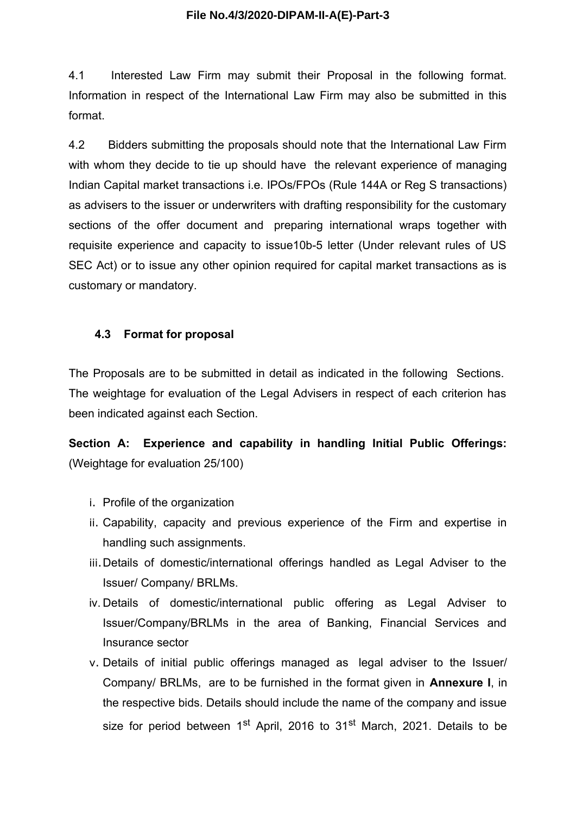4.1 Interested Law Firm may submit their Proposal in the following format. Information in respect of the International Law Firm may also be submitted in this format.

4.2 Bidders submitting the proposals should note that the International Law Firm with whom they decide to tie up should have the relevant experience of managing Indian Capital market transactions i.e. IPOs/FPOs (Rule 144A or Reg S transactions) as advisers to the issuer or underwriters with drafting responsibility for the customary sections of the offer document and preparing international wraps together with requisite experience and capacity to issue10b-5 letter (Under relevant rules of US SEC Act) or to issue any other opinion required for capital market transactions as is customary or mandatory.

## **4.3 Format for proposal**

The Proposals are to be submitted in detail as indicated in the following Sections. The weightage for evaluation of the Legal Advisers in respect of each criterion has been indicated against each Section.

**Section A: Experience and capability in handling Initial Public Offerings:** (Weightage for evaluation 25/100)

- i. Profile of the organization
- ii. Capability, capacity and previous experience of the Firm and expertise in handling such assignments.
- iii.Details of domestic/international offerings handled as Legal Adviser to the Issuer/ Company/ BRLMs.
- iv. Details of domestic/international public offering as Legal Adviser to Issuer/Company/BRLMs in the area of Banking, Financial Services and Insurance sector
- v. Details of initial public offerings managed as legal adviser to the Issuer/ Company/ BRLMs, are to be furnished in the format given in **Annexure I**, in the respective bids. Details should include the name of the company and issue size for period between  $1<sup>st</sup>$  April, 2016 to  $31<sup>st</sup>$  March, 2021. Details to be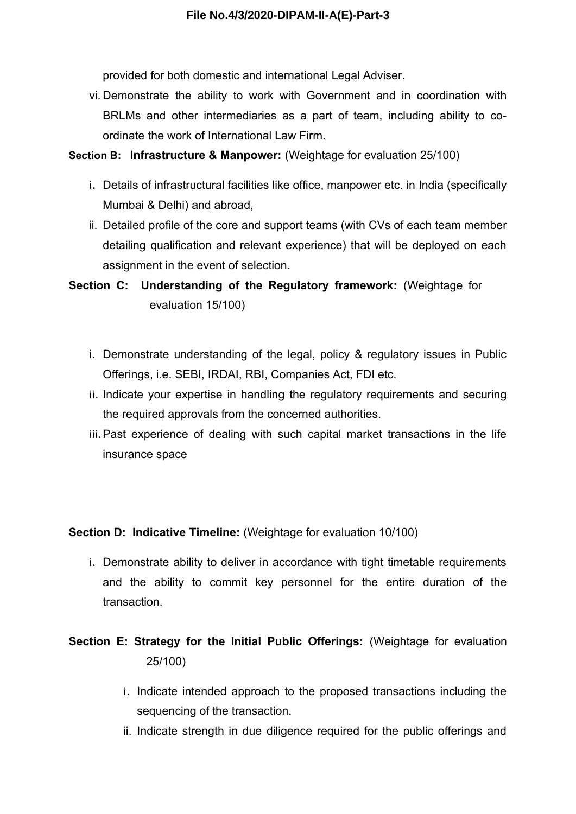provided for both domestic and international Legal Adviser.

vi. Demonstrate the ability to work with Government and in coordination with BRLMs and other intermediaries as a part of team, including ability to coordinate the work of International Law Firm.

#### **Section B: Infrastructure & Manpower:** (Weightage for evaluation 25/100)

- i. Details of infrastructural facilities like office, manpower etc. in India (specifically Mumbai & Delhi) and abroad,
- ii. Detailed profile of the core and support teams (with CVs of each team member detailing qualification and relevant experience) that will be deployed on each assignment in the event of selection.

**Section C: Understanding of the Regulatory framework:** (Weightage for evaluation 15/100)

- i. Demonstrate understanding of the legal, policy & regulatory issues in Public Offerings, i.e. SEBI, IRDAI, RBI, Companies Act, FDI etc.
- ii. Indicate your expertise in handling the regulatory requirements and securing the required approvals from the concerned authorities.
- iii.Past experience of dealing with such capital market transactions in the life insurance space

**Section D: Indicative Timeline:** (Weightage for evaluation 10/100)

- i. Demonstrate ability to deliver in accordance with tight timetable requirements and the ability to commit key personnel for the entire duration of the transaction.
- **Section E: Strategy for the Initial Public Offerings: (Weightage for evaluation**  25/100)
	- i. Indicate intended approach to the proposed transactions including the sequencing of the transaction.
	- ii. Indicate strength in due diligence required for the public offerings and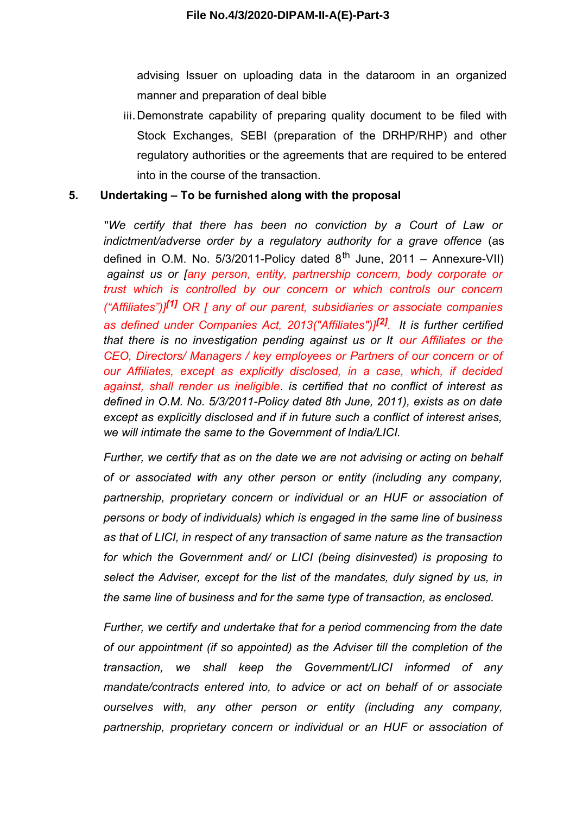advising Issuer on uploading data in the dataroom in an organized manner and preparation of deal bible

iii.Demonstrate capability of preparing quality document to be filed with Stock Exchanges, SEBI (preparation of the DRHP/RHP) and other regulatory authorities or the agreements that are required to be entered into in the course of the transaction.

#### **5. Undertaking – To be furnished along with the proposal**

*"We certify that there has been no conviction by a Court of Law or indictment/adverse order by a regulatory authority for a grave offence* (as defined in O.M. No. 5/3/2011-Policy dated  $8^{th}$  June, 2011 – Annexure-VII) *against us or [any person, entity, partnership concern, body corporate or trust which is controlled by our concern or which controls our concern ("Affiliates")][1] OR [ any of our parent, subsidiaries or associate companies as defined under Companies Act, 2013("Affiliates")][2] . It is further certified that there is no investigation pending against us or It our Affiliates or the CEO, Directors/ Managers / key employees or Partners of our concern or of our Affiliates, except as explicitly disclosed, in a case, which, if decided against, shall render us ineligible. is certified that no conflict of interest as defined in O.M. No. 5/3/2011-Policy dated 8th June, 2011), exists as on date except as explicitly disclosed and if in future such a conflict of interest arises, we will intimate the same to the Government of India/LICI.*

*Further, we certify that as on the date we are not advising or acting on behalf of or associated with any other person or entity (including any company, partnership, proprietary concern or individual or an HUF or association of persons or body of individuals) which is engaged in the same line of business as that of LICI, in respect of any transaction of same nature as the transaction for which the Government and/ or LICI (being disinvested) is proposing to select the Adviser, except for the list of the mandates, duly signed by us, in the same line of business and for the same type of transaction, as enclosed.*

*Further, we certify and undertake that for a period commencing from the date of our appointment (if so appointed) as the Adviser till the completion of the transaction, we shall keep the Government/LICI informed of any mandate/contracts entered into, to advice or act on behalf of or associate ourselves with, any other person or entity (including any company, partnership, proprietary concern or individual or an HUF or association of*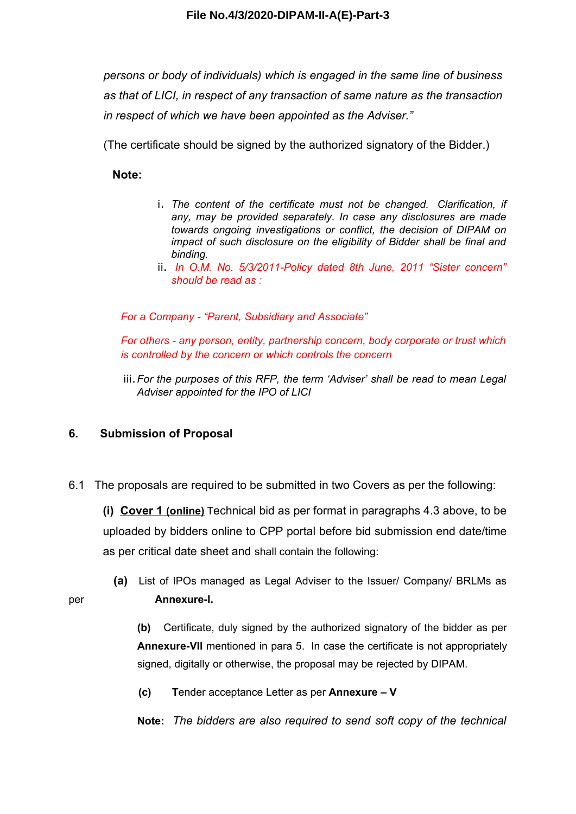*persons or body of individuals) which is engaged in the same line of business as that of LICI, in respect of any transaction of same nature as the transaction in respect of which we have been appointed as the Adviser."*

(The certificate should be signed by the authorized signatory of the Bidder.)

**Note:** 

- i. *The content of the certificate must not be changed. Clarification, if any, may be provided separately. In case any disclosures are made towards ongoing investigations or conflict, the decision of DIPAM on impact of such disclosure on the eligibility of Bidder shall be final and binding.*
- ii. *In O.M. No. 5/3/2011-Policy dated 8th June, 2011 "Sister concern" should be read as :*

*For a Company - "Parent, Subsidiary and Associate"*

*For others - any person, entity, partnership concern, body corporate or trust which is controlled by the concern or which controls the concern*

iii.*For the purposes of this RFP, the term 'Adviser' shall be read to mean Legal Adviser appointed for the IPO of LICI*

#### **6. Submission of Proposal**

6.1 The proposals are required to be submitted in two Covers as per the following:

**(i) Cover 1 (online)** Technical bid as per format in paragraphs 4.3 above, to be uploaded by bidders online to CPP portal before bid submission end date/time as per critical date sheet and shall contain the following:

**(a)** List of IPOs managed as Legal Adviser to the Issuer/ Company/ BRLMs as per **Annexure-I.**

> **(b)** Certificate, duly signed by the authorized signatory of the bidder as per **Annexure-VII** mentioned in para 5. In case the certificate is not appropriately signed, digitally or otherwise, the proposal may be rejected by DIPAM.

**(c) T**ender acceptance Letter as per **Annexure – V**

**Note:** *The bidders are also required to send soft copy of the technical*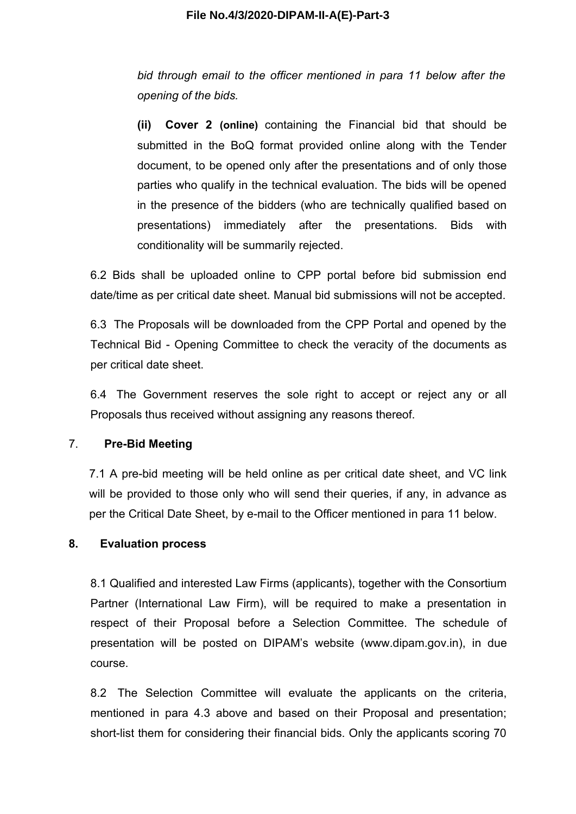*bid through email to the officer mentioned in para 11 below after the opening of the bids.* 

**(ii) Cover 2 (online)** containing the Financial bid that should be submitted in the BoQ format provided online along with the Tender document, to be opened only after the presentations and of only those parties who qualify in the technical evaluation. The bids will be opened in the presence of the bidders (who are technically qualified based on presentations) immediately after the presentations. Bids with conditionality will be summarily rejected.

6.2 Bids shall be uploaded online to CPP portal before bid submission end date/time as per critical date sheet. Manual bid submissions will not be accepted.

6.3 The Proposals will be downloaded from the CPP Portal and opened by the Technical Bid - Opening Committee to check the veracity of the documents as per critical date sheet.

6.4 The Government reserves the sole right to accept or reject any or all Proposals thus received without assigning any reasons thereof.

#### 7. **Pre-Bid Meeting**

7.1 A pre-bid meeting will be held online as per critical date sheet, and VC link will be provided to those only who will send their queries, if any, in advance as per the Critical Date Sheet, by e-mail to the Officer mentioned in para 11 below.

#### **8. Evaluation process**

8.1 Qualified and interested Law Firms (applicants), together with the Consortium Partner (International Law Firm), will be required to make a presentation in respect of their Proposal before a Selection Committee. The schedule of presentation will be posted on DIPAM's website (www.dipam.gov.in), in due course.

8.2 The Selection Committee will evaluate the applicants on the criteria, mentioned in para 4.3 above and based on their Proposal and presentation; short-list them for considering their financial bids. Only the applicants scoring 70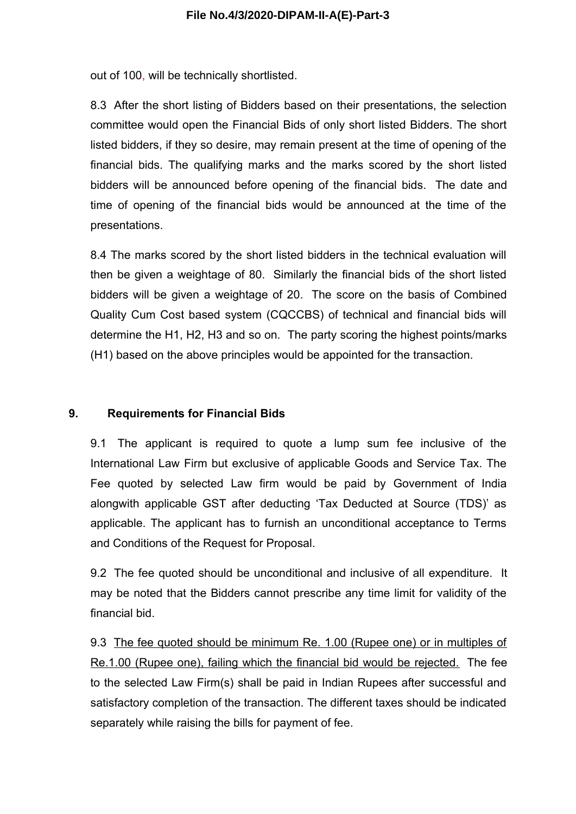out of 100, will be technically shortlisted.

8.3 After the short listing of Bidders based on their presentations, the selection committee would open the Financial Bids of only short listed Bidders. The short listed bidders, if they so desire, may remain present at the time of opening of the financial bids. The qualifying marks and the marks scored by the short listed bidders will be announced before opening of the financial bids. The date and time of opening of the financial bids would be announced at the time of the presentations.

8.4 The marks scored by the short listed bidders in the technical evaluation will then be given a weightage of 80. Similarly the financial bids of the short listed bidders will be given a weightage of 20. The score on the basis of Combined Quality Cum Cost based system (CQCCBS) of technical and financial bids will determine the H1, H2, H3 and so on. The party scoring the highest points/marks (H1) based on the above principles would be appointed for the transaction.

#### **9. Requirements for Financial Bids**

9.1 The applicant is required to quote a lump sum fee inclusive of the International Law Firm but exclusive of applicable Goods and Service Tax. The Fee quoted by selected Law firm would be paid by Government of India alongwith applicable GST after deducting 'Tax Deducted at Source (TDS)' as applicable. The applicant has to furnish an unconditional acceptance to Terms and Conditions of the Request for Proposal.

9.2 The fee quoted should be unconditional and inclusive of all expenditure. It may be noted that the Bidders cannot prescribe any time limit for validity of the financial bid.

9.3 The fee quoted should be minimum Re. 1.00 (Rupee one) or in multiples of Re.1.00 (Rupee one), failing which the financial bid would be rejected. The fee to the selected Law Firm(s) shall be paid in Indian Rupees after successful and satisfactory completion of the transaction. The different taxes should be indicated separately while raising the bills for payment of fee.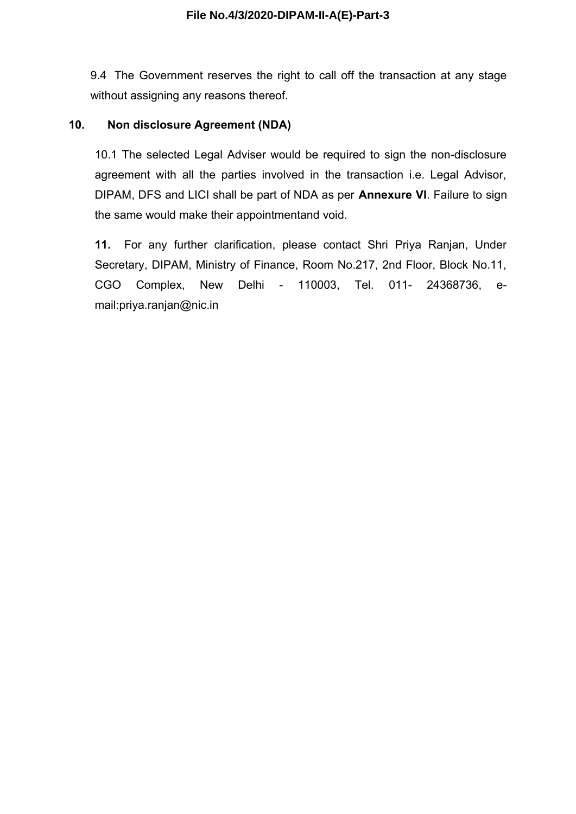9.4 The Government reserves the right to call off the transaction at any stage without assigning any reasons thereof.

# **10. Non disclosure Agreement (NDA)**

10.1 The selected Legal Adviser would be required to sign the non-disclosure agreement with all the parties involved in the transaction i.e. Legal Advisor, DIPAM, DFS and LICI shall be part of NDA as per **Annexure VI**. Failure to sign the same would make their appointmentand void.

**11.** For any further clarification, please contact Shri Priya Ranjan, Under Secretary, DIPAM, Ministry of Finance, Room No.217, 2nd Floor, Block No.11, CGO Complex, New Delhi - 110003, Tel. 011- 24368736, email:priya.ranjan@nic.in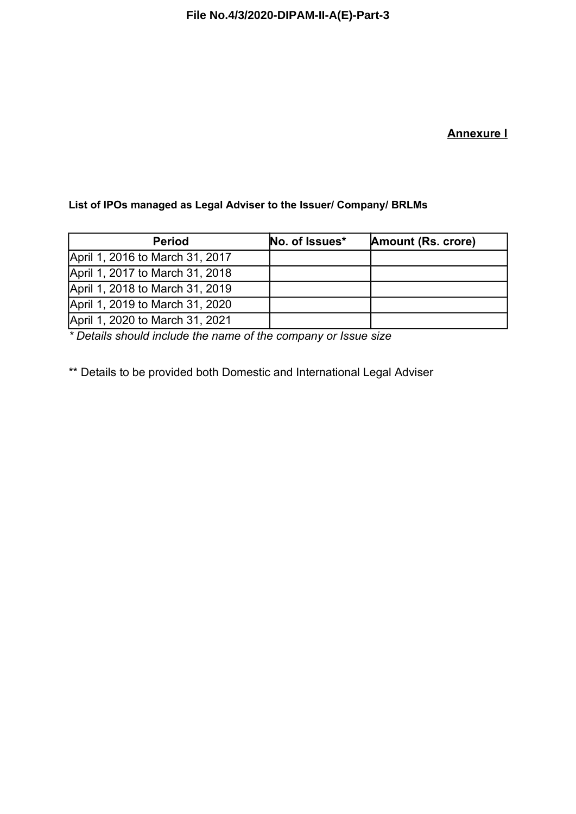# **Annexure I**

## **List of IPOs managed as Legal Adviser to the Issuer/ Company/ BRLMs**

| <b>Period</b>                   | No. of Issues* | Amount (Rs. crore) |
|---------------------------------|----------------|--------------------|
| April 1, 2016 to March 31, 2017 |                |                    |
| April 1, 2017 to March 31, 2018 |                |                    |
| April 1, 2018 to March 31, 2019 |                |                    |
| April 1, 2019 to March 31, 2020 |                |                    |
| April 1, 2020 to March 31, 2021 |                |                    |

*\* Details should include the name of the company or Issue size* 

\*\* Details to be provided both Domestic and International Legal Adviser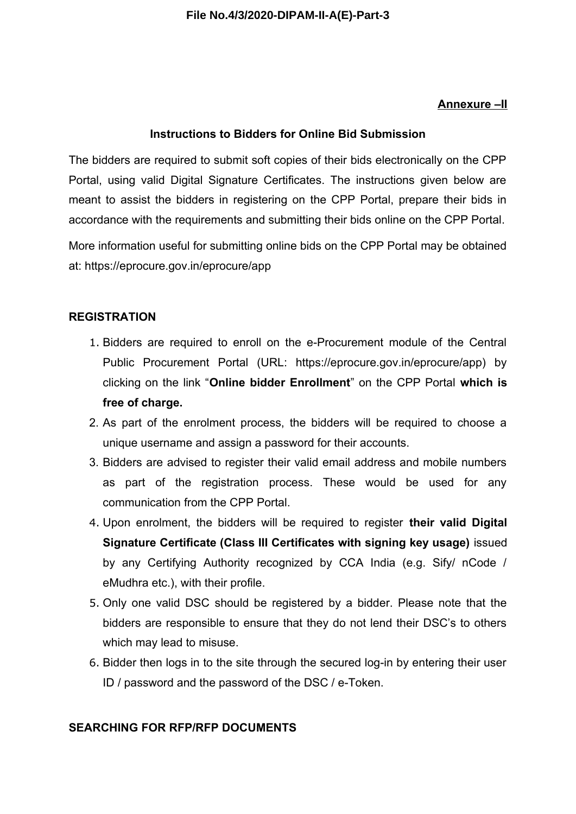# **Annexure –II**

# **Instructions to Bidders for Online Bid Submission**

The bidders are required to submit soft copies of their bids electronically on the CPP Portal, using valid Digital Signature Certificates. The instructions given below are meant to assist the bidders in registering on the CPP Portal, prepare their bids in accordance with the requirements and submitting their bids online on the CPP Portal.

More information useful for submitting online bids on the CPP Portal may be obtained at: https://eprocure.gov.in/eprocure/app

# **REGISTRATION**

- 1. Bidders are required to enroll on the e-Procurement module of the Central Public Procurement Portal (URL: https://eprocure.gov.in/eprocure/app) by clicking on the link "**Online bidder Enrollment**" on the CPP Portal **which is free of charge.**
- 2. As part of the enrolment process, the bidders will be required to choose a unique username and assign a password for their accounts.
- 3. Bidders are advised to register their valid email address and mobile numbers as part of the registration process. These would be used for any communication from the CPP Portal.
- 4. Upon enrolment, the bidders will be required to register **their valid Digital Signature Certificate (Class III Certificates with signing key usage)** issued by any Certifying Authority recognized by CCA India (e.g. Sify/ nCode / eMudhra etc.), with their profile.
- 5. Only one valid DSC should be registered by a bidder. Please note that the bidders are responsible to ensure that they do not lend their DSC's to others which may lead to misuse.
- 6. Bidder then logs in to the site through the secured log-in by entering their user ID / password and the password of the DSC / e-Token.

# **SEARCHING FOR RFP/RFP DOCUMENTS**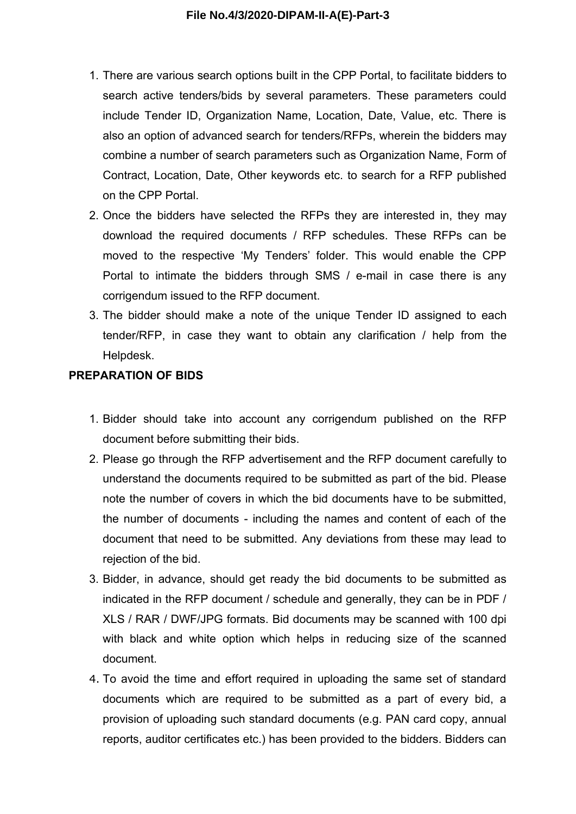- 1. There are various search options built in the CPP Portal, to facilitate bidders to search active tenders/bids by several parameters. These parameters could include Tender ID, Organization Name, Location, Date, Value, etc. There is also an option of advanced search for tenders/RFPs, wherein the bidders may combine a number of search parameters such as Organization Name, Form of Contract, Location, Date, Other keywords etc. to search for a RFP published on the CPP Portal.
- 2. Once the bidders have selected the RFPs they are interested in, they may download the required documents / RFP schedules. These RFPs can be moved to the respective 'My Tenders' folder. This would enable the CPP Portal to intimate the bidders through SMS / e-mail in case there is any corrigendum issued to the RFP document.
- 3. The bidder should make a note of the unique Tender ID assigned to each tender/RFP, in case they want to obtain any clarification / help from the Helpdesk.

#### **PREPARATION OF BIDS**

- 1. Bidder should take into account any corrigendum published on the RFP document before submitting their bids.
- 2. Please go through the RFP advertisement and the RFP document carefully to understand the documents required to be submitted as part of the bid. Please note the number of covers in which the bid documents have to be submitted, the number of documents - including the names and content of each of the document that need to be submitted. Any deviations from these may lead to rejection of the bid.
- 3. Bidder, in advance, should get ready the bid documents to be submitted as indicated in the RFP document / schedule and generally, they can be in PDF / XLS / RAR / DWF/JPG formats. Bid documents may be scanned with 100 dpi with black and white option which helps in reducing size of the scanned document.
- 4. To avoid the time and effort required in uploading the same set of standard documents which are required to be submitted as a part of every bid, a provision of uploading such standard documents (e.g. PAN card copy, annual reports, auditor certificates etc.) has been provided to the bidders. Bidders can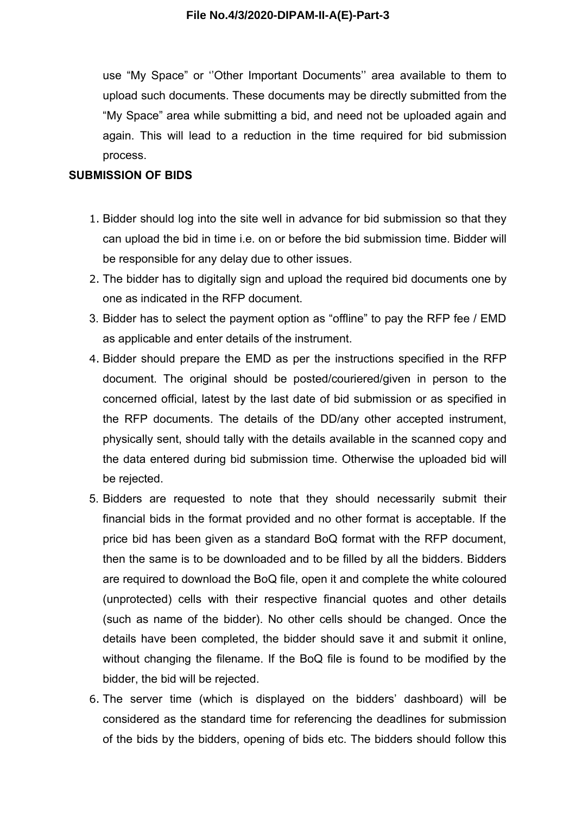use "My Space" or ''Other Important Documents'' area available to them to upload such documents. These documents may be directly submitted from the "My Space" area while submitting a bid, and need not be uploaded again and again. This will lead to a reduction in the time required for bid submission process.

#### **SUBMISSION OF BIDS**

- 1. Bidder should log into the site well in advance for bid submission so that they can upload the bid in time i.e. on or before the bid submission time. Bidder will be responsible for any delay due to other issues.
- 2. The bidder has to digitally sign and upload the required bid documents one by one as indicated in the RFP document.
- 3. Bidder has to select the payment option as "offline" to pay the RFP fee / EMD as applicable and enter details of the instrument.
- 4. Bidder should prepare the EMD as per the instructions specified in the RFP document. The original should be posted/couriered/given in person to the concerned official, latest by the last date of bid submission or as specified in the RFP documents. The details of the DD/any other accepted instrument, physically sent, should tally with the details available in the scanned copy and the data entered during bid submission time. Otherwise the uploaded bid will be rejected.
- 5. Bidders are requested to note that they should necessarily submit their financial bids in the format provided and no other format is acceptable. If the price bid has been given as a standard BoQ format with the RFP document, then the same is to be downloaded and to be filled by all the bidders. Bidders are required to download the BoQ file, open it and complete the white coloured (unprotected) cells with their respective financial quotes and other details (such as name of the bidder). No other cells should be changed. Once the details have been completed, the bidder should save it and submit it online, without changing the filename. If the BoQ file is found to be modified by the bidder, the bid will be rejected.
- 6. The server time (which is displayed on the bidders' dashboard) will be considered as the standard time for referencing the deadlines for submission of the bids by the bidders, opening of bids etc. The bidders should follow this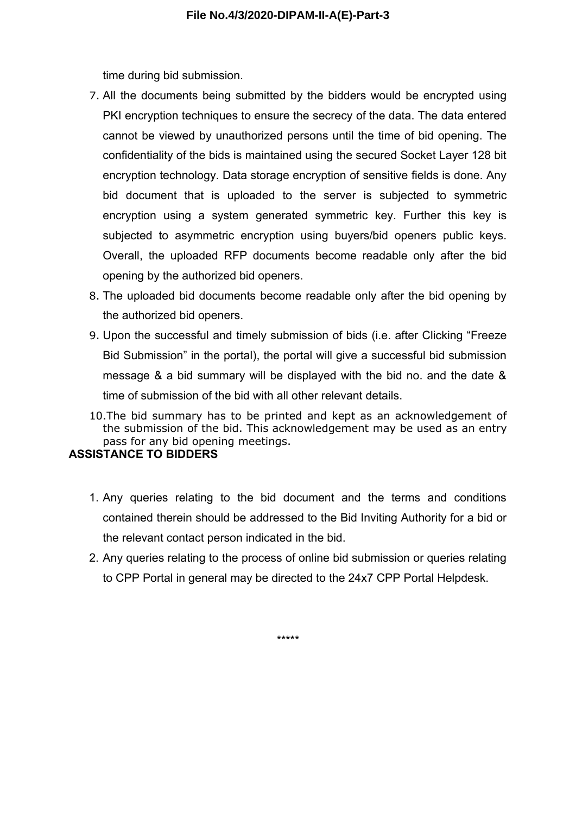time during bid submission.

- 7. All the documents being submitted by the bidders would be encrypted using PKI encryption techniques to ensure the secrecy of the data. The data entered cannot be viewed by unauthorized persons until the time of bid opening. The confidentiality of the bids is maintained using the secured Socket Layer 128 bit encryption technology. Data storage encryption of sensitive fields is done. Any bid document that is uploaded to the server is subjected to symmetric encryption using a system generated symmetric key. Further this key is subjected to asymmetric encryption using buyers/bid openers public keys. Overall, the uploaded RFP documents become readable only after the bid opening by the authorized bid openers.
- 8. The uploaded bid documents become readable only after the bid opening by the authorized bid openers.
- 9. Upon the successful and timely submission of bids (i.e. after Clicking "Freeze Bid Submission" in the portal), the portal will give a successful bid submission message & a bid summary will be displayed with the bid no. and the date & time of submission of the bid with all other relevant details.
- 10.The bid summary has to be printed and kept as an acknowledgement of the submission of the bid. This acknowledgement may be used as an entry pass for any bid opening meetings.

#### **ASSISTANCE TO BIDDERS**

- 1. Any queries relating to the bid document and the terms and conditions contained therein should be addressed to the Bid Inviting Authority for a bid or the relevant contact person indicated in the bid.
- 2. Any queries relating to the process of online bid submission or queries relating to CPP Portal in general may be directed to the 24x7 CPP Portal Helpdesk.

\*\*\*\*\*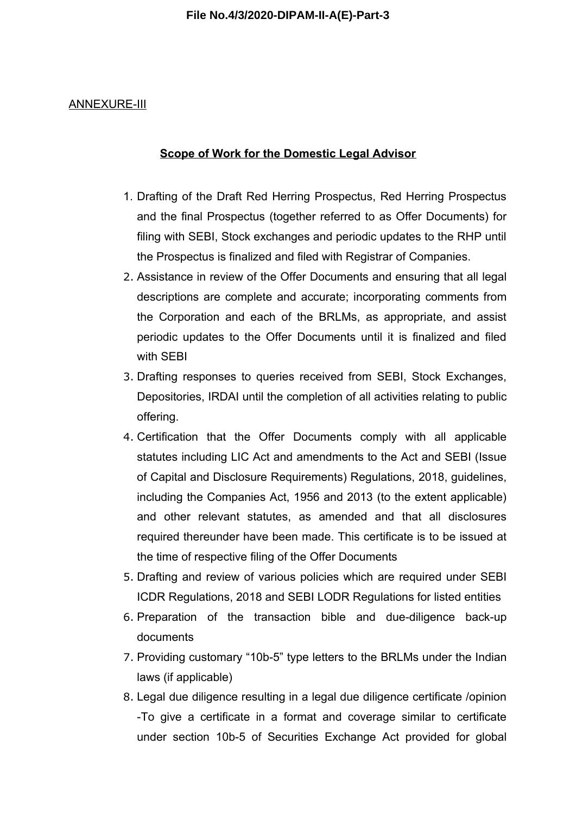#### ANNEXURE-III

#### **Scope of Work for the Domestic Legal Advisor**

- 1. Drafting of the Draft Red Herring Prospectus, Red Herring Prospectus and the final Prospectus (together referred to as Offer Documents) for filing with SEBI, Stock exchanges and periodic updates to the RHP until the Prospectus is finalized and filed with Registrar of Companies.
- 2. Assistance in review of the Offer Documents and ensuring that all legal descriptions are complete and accurate; incorporating comments from the Corporation and each of the BRLMs, as appropriate, and assist periodic updates to the Offer Documents until it is finalized and filed with SEBI
- 3. Drafting responses to queries received from SEBI, Stock Exchanges, Depositories, IRDAI until the completion of all activities relating to public offering.
- 4. Certification that the Offer Documents comply with all applicable statutes including LIC Act and amendments to the Act and SEBI (Issue of Capital and Disclosure Requirements) Regulations, 2018, guidelines, including the Companies Act, 1956 and 2013 (to the extent applicable) and other relevant statutes, as amended and that all disclosures required thereunder have been made. This certificate is to be issued at the time of respective filing of the Offer Documents
- 5. Drafting and review of various policies which are required under SEBI ICDR Regulations, 2018 and SEBI LODR Regulations for listed entities
- 6. Preparation of the transaction bible and due-diligence back-up documents
- 7. Providing customary "10b-5" type letters to the BRLMs under the Indian laws (if applicable)
- 8. Legal due diligence resulting in a legal due diligence certificate /opinion -To give a certificate in a format and coverage similar to certificate under section 10b-5 of Securities Exchange Act provided for global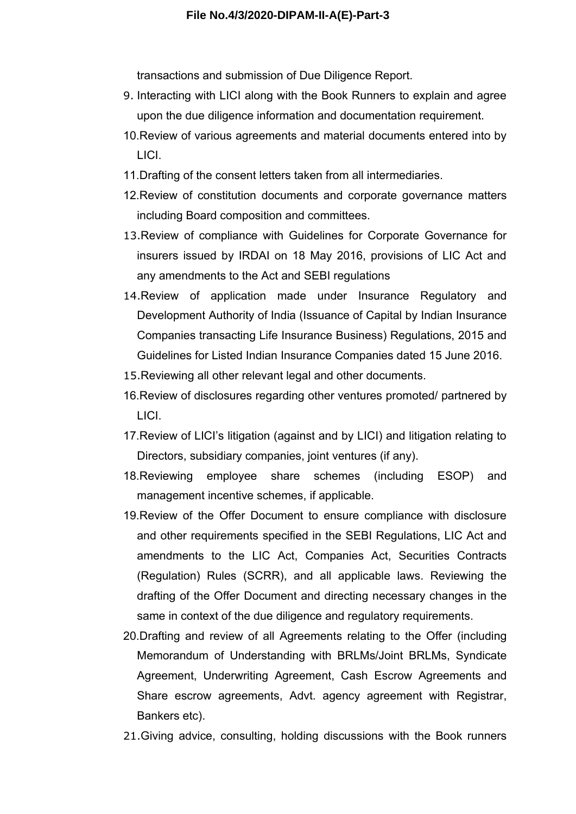transactions and submission of Due Diligence Report.

- 9. Interacting with LICI along with the Book Runners to explain and agree upon the due diligence information and documentation requirement.
- 10.Review of various agreements and material documents entered into by LICI.
- 11.Drafting of the consent letters taken from all intermediaries.
- 12.Review of constitution documents and corporate governance matters including Board composition and committees.
- 13.Review of compliance with Guidelines for Corporate Governance for insurers issued by IRDAI on 18 May 2016, provisions of LIC Act and any amendments to the Act and SEBI regulations
- 14.Review of application made under Insurance Regulatory and Development Authority of India (Issuance of Capital by Indian Insurance Companies transacting Life Insurance Business) Regulations, 2015 and Guidelines for Listed Indian Insurance Companies dated 15 June 2016.
- 15.Reviewing all other relevant legal and other documents.
- 16.Review of disclosures regarding other ventures promoted/ partnered by LICI.
- 17.Review of LICI's litigation (against and by LICI) and litigation relating to Directors, subsidiary companies, joint ventures (if any).
- 18.Reviewing employee share schemes (including ESOP) and management incentive schemes, if applicable.
- 19.Review of the Offer Document to ensure compliance with disclosure and other requirements specified in the SEBI Regulations, LIC Act and amendments to the LIC Act, Companies Act, Securities Contracts (Regulation) Rules (SCRR), and all applicable laws. Reviewing the drafting of the Offer Document and directing necessary changes in the same in context of the due diligence and regulatory requirements.
- 20.Drafting and review of all Agreements relating to the Offer (including Memorandum of Understanding with BRLMs/Joint BRLMs, Syndicate Agreement, Underwriting Agreement, Cash Escrow Agreements and Share escrow agreements, Advt. agency agreement with Registrar, Bankers etc).
- 21.Giving advice, consulting, holding discussions with the Book runners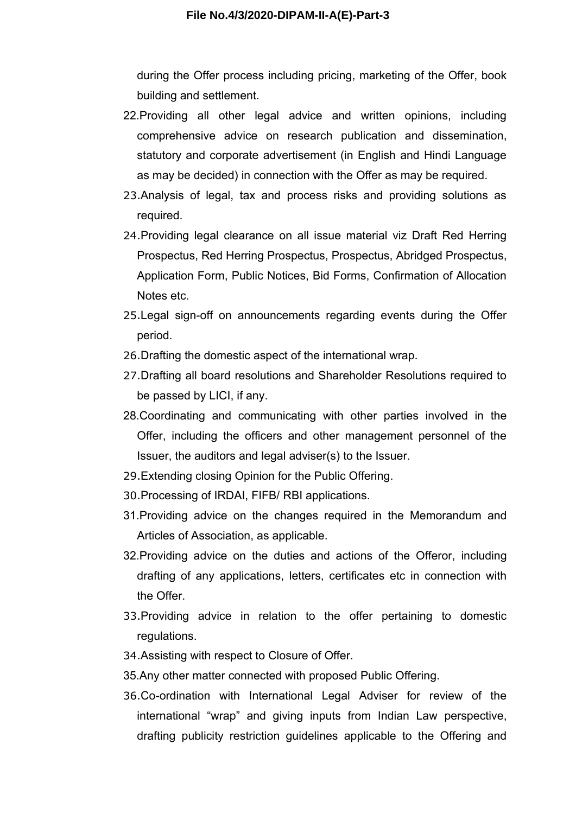during the Offer process including pricing, marketing of the Offer, book building and settlement.

- 22.Providing all other legal advice and written opinions, including comprehensive advice on research publication and dissemination, statutory and corporate advertisement (in English and Hindi Language as may be decided) in connection with the Offer as may be required.
- 23.Analysis of legal, tax and process risks and providing solutions as required.
- 24.Providing legal clearance on all issue material viz Draft Red Herring Prospectus, Red Herring Prospectus, Prospectus, Abridged Prospectus, Application Form, Public Notices, Bid Forms, Confirmation of Allocation Notes etc.
- 25.Legal sign-off on announcements regarding events during the Offer period.
- 26.Drafting the domestic aspect of the international wrap.
- 27.Drafting all board resolutions and Shareholder Resolutions required to be passed by LICI, if any.
- 28.Coordinating and communicating with other parties involved in the Offer, including the officers and other management personnel of the Issuer, the auditors and legal adviser(s) to the Issuer.
- 29.Extending closing Opinion for the Public Offering.
- 30.Processing of IRDAI, FIFB/ RBI applications.
- 31.Providing advice on the changes required in the Memorandum and Articles of Association, as applicable.
- 32.Providing advice on the duties and actions of the Offeror, including drafting of any applications, letters, certificates etc in connection with the Offer.
- 33.Providing advice in relation to the offer pertaining to domestic regulations.
- 34.Assisting with respect to Closure of Offer.
- 35.Any other matter connected with proposed Public Offering.
- 36.Co-ordination with International Legal Adviser for review of the international "wrap" and giving inputs from Indian Law perspective, drafting publicity restriction guidelines applicable to the Offering and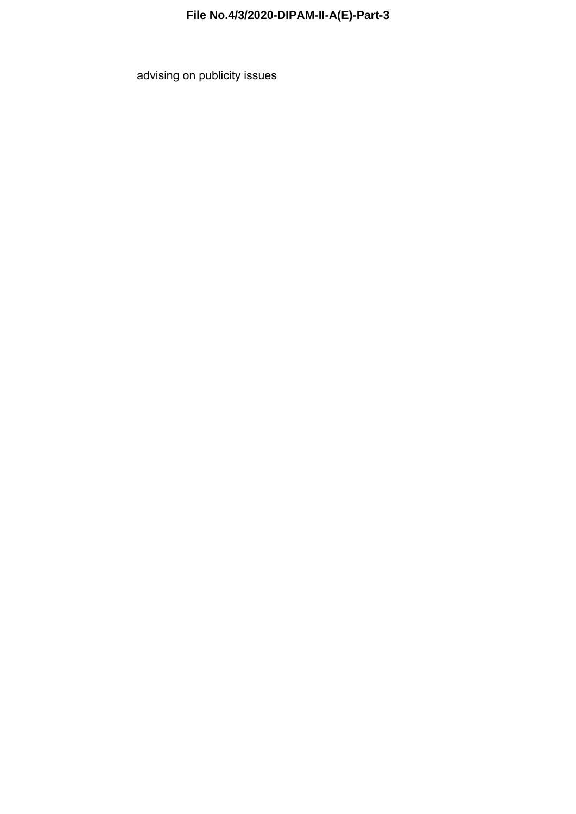advising on publicity issues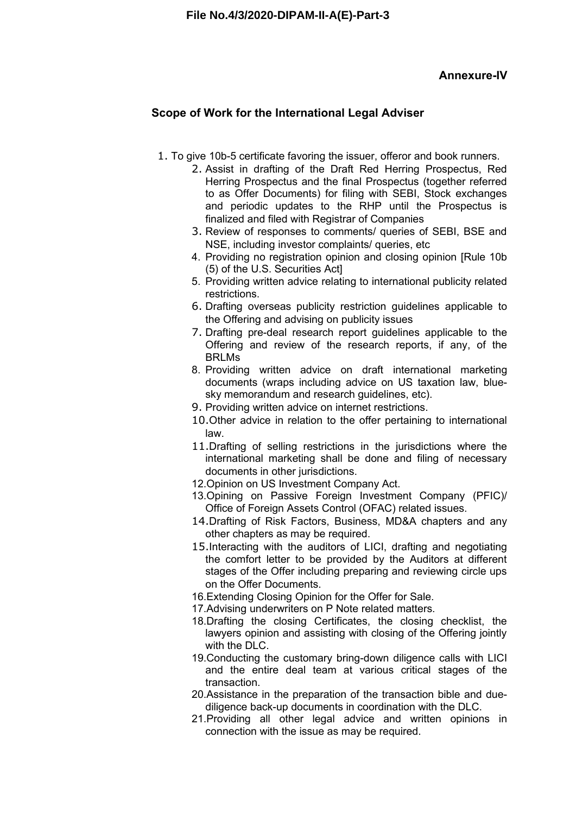#### **Annexure-IV**

#### **Scope of Work for the International Legal Adviser**

- 1. To give 10b-5 certificate favoring the issuer, offeror and book runners.
	- 2. Assist in drafting of the Draft Red Herring Prospectus, Red Herring Prospectus and the final Prospectus (together referred to as Offer Documents) for filing with SEBI, Stock exchanges and periodic updates to the RHP until the Prospectus is finalized and filed with Registrar of Companies
	- 3. Review of responses to comments/ queries of SEBI, BSE and NSE, including investor complaints/ queries, etc
	- 4. Providing no registration opinion and closing opinion [Rule 10b (5) of the U.S. Securities Act]
	- 5. Providing written advice relating to international publicity related restrictions.
	- 6. Drafting overseas publicity restriction guidelines applicable to the Offering and advising on publicity issues
	- 7. Drafting pre-deal research report guidelines applicable to the Offering and review of the research reports, if any, of the BRLMs
	- 8. Providing written advice on draft international marketing documents (wraps including advice on US taxation law, bluesky memorandum and research guidelines, etc).
	- 9. Providing written advice on internet restrictions.
	- 10.Other advice in relation to the offer pertaining to international law.
	- 11.Drafting of selling restrictions in the jurisdictions where the international marketing shall be done and filing of necessary documents in other jurisdictions.
	- 12.Opinion on US Investment Company Act.
	- 13.Opining on Passive Foreign Investment Company (PFIC)/ Office of Foreign Assets Control (OFAC) related issues.
	- 14.Drafting of Risk Factors, Business, MD&A chapters and any other chapters as may be required.
	- 15.Interacting with the auditors of LICI, drafting and negotiating the comfort letter to be provided by the Auditors at different stages of the Offer including preparing and reviewing circle ups on the Offer Documents.
	- 16.Extending Closing Opinion for the Offer for Sale.
	- 17.Advising underwriters on P Note related matters.
	- 18.Drafting the closing Certificates, the closing checklist, the lawyers opinion and assisting with closing of the Offering jointly with the DLC.
	- 19.Conducting the customary bring-down diligence calls with LICI and the entire deal team at various critical stages of the transaction.
	- 20.Assistance in the preparation of the transaction bible and duediligence back-up documents in coordination with the DLC.
	- 21.Providing all other legal advice and written opinions in connection with the issue as may be required.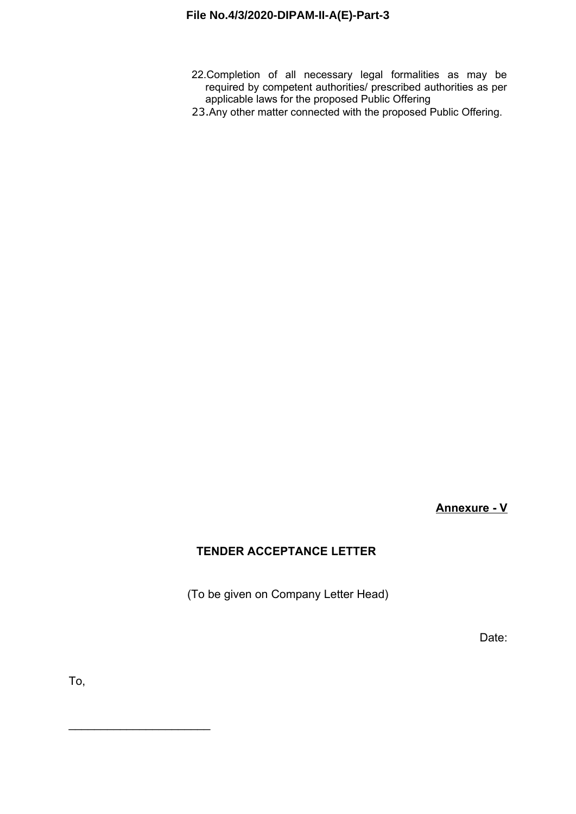- 22.Completion of all necessary legal formalities as may be required by competent authorities/ prescribed authorities as per applicable laws for the proposed Public Offering
- 23.Any other matter connected with the proposed Public Offering.

**Annexure - V**

# **TENDER ACCEPTANCE LETTER**

(To be given on Company Letter Head)

Date:

To,

\_\_\_\_\_\_\_\_\_\_\_\_\_\_\_\_\_\_\_\_\_\_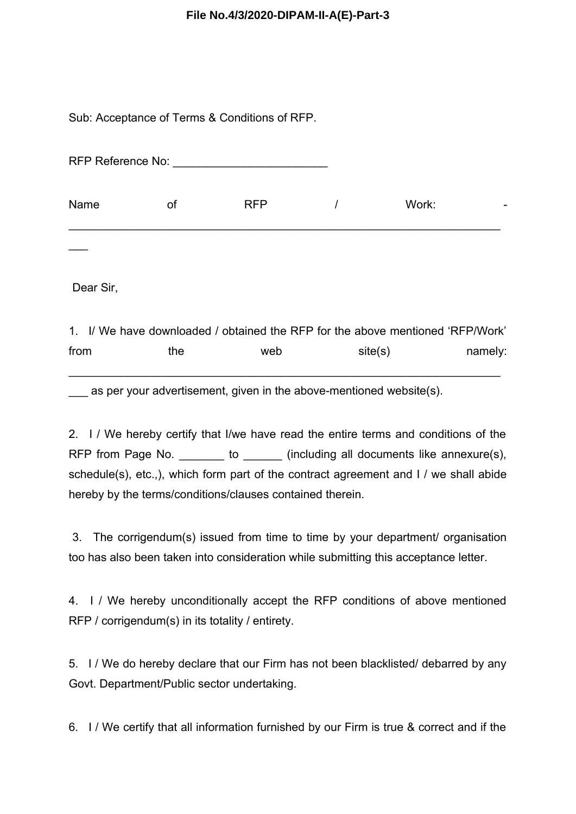Sub: Acceptance of Terms & Conditions of RFP.

|      | RFP Reference No: Note that the state of the state of the state of the state of the state of the state of the state of the state of the state of the state of the state of the state of the state of the state of the state of |            |       |  |
|------|--------------------------------------------------------------------------------------------------------------------------------------------------------------------------------------------------------------------------------|------------|-------|--|
| Name | 0f                                                                                                                                                                                                                             | <b>RFP</b> | Work: |  |
|      |                                                                                                                                                                                                                                |            |       |  |

Dear Sir,

1. I/ We have downloaded / obtained the RFP for the above mentioned 'RFP/Work' from the web site(s) namely: \_\_\_\_\_\_\_\_\_\_\_\_\_\_\_\_\_\_\_\_\_\_\_\_\_\_\_\_\_\_\_\_\_\_\_\_\_\_\_\_\_\_\_\_\_\_\_\_\_\_\_\_\_\_\_\_\_\_\_\_\_\_\_\_\_\_\_

as per your advertisement, given in the above-mentioned website(s).

2. I / We hereby certify that I/we have read the entire terms and conditions of the RFP from Page No.  $\qquad \qquad$  to  $\qquad \qquad$  (including all documents like annexure(s), schedule(s), etc.,), which form part of the contract agreement and I / we shall abide hereby by the terms/conditions/clauses contained therein.

3. The corrigendum(s) issued from time to time by your department/ organisation too has also been taken into consideration while submitting this acceptance letter.

4. I / We hereby unconditionally accept the RFP conditions of above mentioned RFP / corrigendum(s) in its totality / entirety.

5. I / We do hereby declare that our Firm has not been blacklisted/ debarred by any Govt. Department/Public sector undertaking.

6. I / We certify that all information furnished by our Firm is true & correct and if the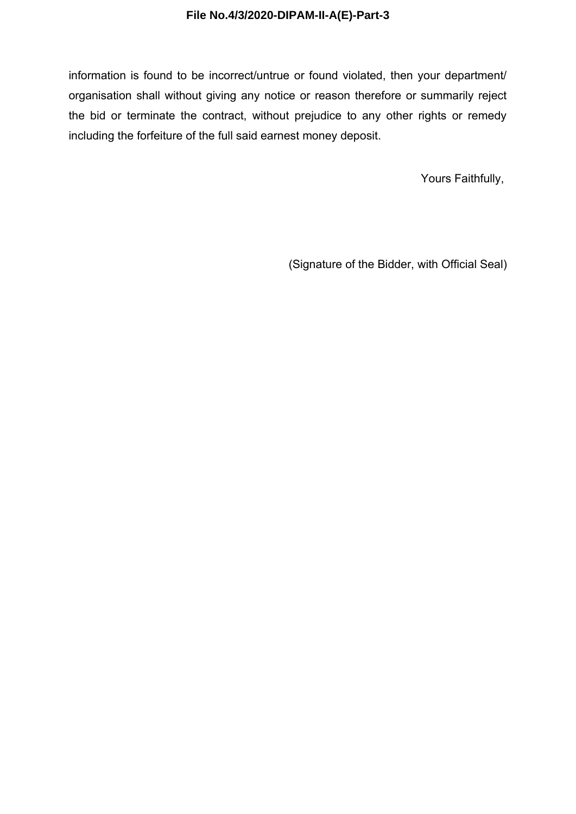information is found to be incorrect/untrue or found violated, then your department/ organisation shall without giving any notice or reason therefore or summarily reject the bid or terminate the contract, without prejudice to any other rights or remedy including the forfeiture of the full said earnest money deposit.

Yours Faithfully,

(Signature of the Bidder, with Official Seal)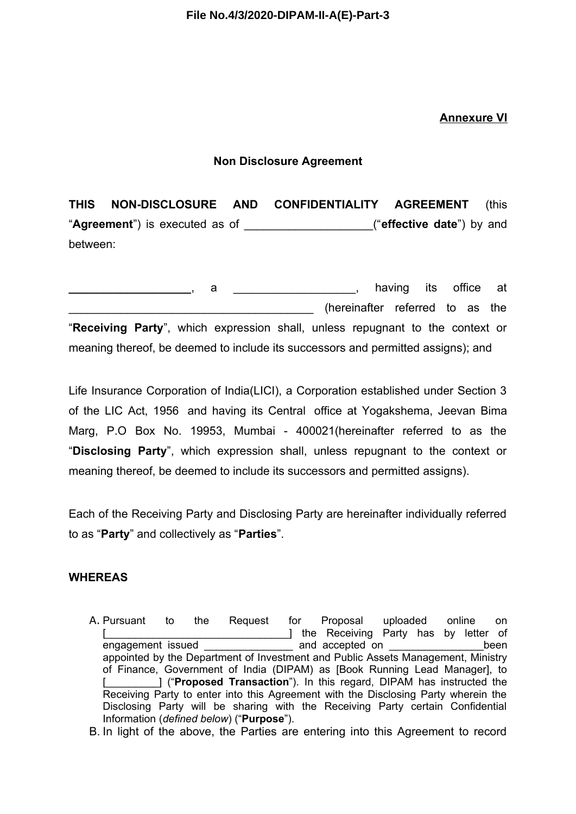# **Annexure VI**

#### **Non Disclosure Agreement**

**THIS NON-DISCLOSURE AND CONFIDENTIALITY AGREEMENT** (this "**Agreement**") is executed as of \_\_\_\_\_\_\_\_\_\_\_\_\_\_\_\_\_\_\_\_("**effective date**") by and between:

a a straight contains a straight containing its office at a straight containing its office at a straight containing the straight of the straight containing the straight containing the straight containing the straight conta (hereinafter referred to as the "**Receiving Party**", which expression shall, unless repugnant to the context or meaning thereof, be deemed to include its successors and permitted assigns); and

Life Insurance Corporation of India(LICI), a Corporation established under Section 3 of the LIC Act, 1956 and having its Central office at Yogakshema, Jeevan Bima Marg, P.O Box No. 19953, Mumbai - 400021(hereinafter referred to as the "**Disclosing Party**", which expression shall, unless repugnant to the context or meaning thereof, be deemed to include its successors and permitted assigns).

Each of the Receiving Party and Disclosing Party are hereinafter individually referred to as "**Party**" and collectively as "**Parties**".

# **WHEREAS**

- A. Pursuant to the Request for Proposal uploaded online on [\_\_\_\_\_\_\_\_\_\_\_\_\_\_\_\_\_\_\_\_\_\_\_\_\_\_\_\_\_\_\_] the Receiving Party has by letter of  $\Box$  and accepted on  $\Box$ appointed by the Department of Investment and Public Assets Management, Ministry of Finance, Government of India (DIPAM) as [Book Running Lead Manager], to [\_\_\_\_\_\_\_\_\_] ("**Proposed Transaction**"). In this regard, DIPAM has instructed the Receiving Party to enter into this Agreement with the Disclosing Party wherein the Disclosing Party will be sharing with the Receiving Party certain Confidential Information (*defined below*) ("**Purpose**").
- B. In light of the above, the Parties are entering into this Agreement to record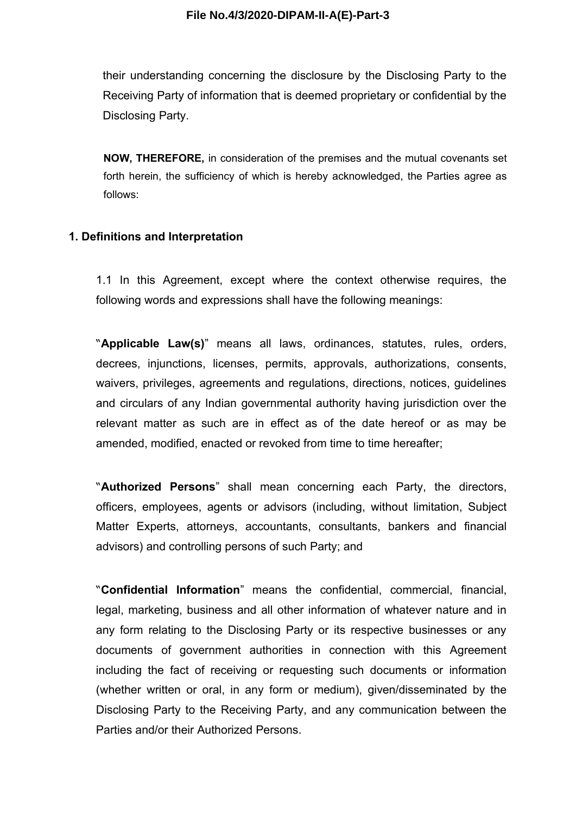their understanding concerning the disclosure by the Disclosing Party to the Receiving Party of information that is deemed proprietary or confidential by the Disclosing Party.

**NOW, THEREFORE,** in consideration of the premises and the mutual covenants set forth herein, the sufficiency of which is hereby acknowledged, the Parties agree as follows:

#### **1. Definitions and Interpretation**

1.1 In this Agreement, except where the context otherwise requires, the following words and expressions shall have the following meanings:

"**Applicable Law(s)**" means all laws, ordinances, statutes, rules, orders, decrees, injunctions, licenses, permits, approvals, authorizations, consents, waivers, privileges, agreements and regulations, directions, notices, guidelines and circulars of any Indian governmental authority having jurisdiction over the relevant matter as such are in effect as of the date hereof or as may be amended, modified, enacted or revoked from time to time hereafter;

"**Authorized Persons**" shall mean concerning each Party, the directors, officers, employees, agents or advisors (including, without limitation, Subject Matter Experts, attorneys, accountants, consultants, bankers and financial advisors) and controlling persons of such Party; and

"**Confidential Information**" means the confidential, commercial, financial, legal, marketing, business and all other information of whatever nature and in any form relating to the Disclosing Party or its respective businesses or any documents of government authorities in connection with this Agreement including the fact of receiving or requesting such documents or information (whether written or oral, in any form or medium), given/disseminated by the Disclosing Party to the Receiving Party, and any communication between the Parties and/or their Authorized Persons.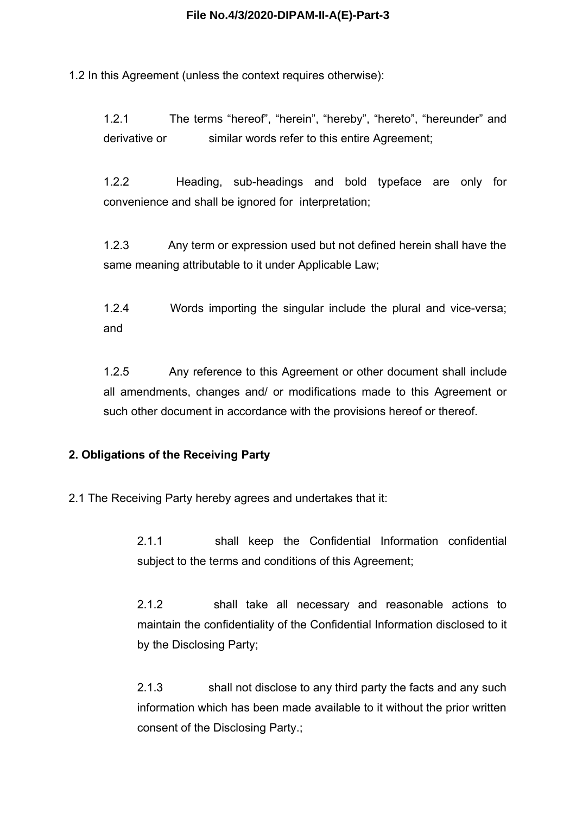1.2 In this Agreement (unless the context requires otherwise):

1.2.1 The terms "hereof", "herein", "hereby", "hereto", "hereunder" and derivative or similar words refer to this entire Agreement;

1.2.2 Heading, sub-headings and bold typeface are only for convenience and shall be ignored for interpretation;

1.2.3 Any term or expression used but not defined herein shall have the same meaning attributable to it under Applicable Law;

1.2.4 Words importing the singular include the plural and vice-versa; and

1.2.5 Any reference to this Agreement or other document shall include all amendments, changes and/ or modifications made to this Agreement or such other document in accordance with the provisions hereof or thereof.

#### **2. Obligations of the Receiving Party**

2.1 The Receiving Party hereby agrees and undertakes that it:

2.1.1 shall keep the Confidential Information confidential subject to the terms and conditions of this Agreement;

2.1.2 shall take all necessary and reasonable actions to maintain the confidentiality of the Confidential Information disclosed to it by the Disclosing Party;

2.1.3 shall not disclose to any third party the facts and any such information which has been made available to it without the prior written consent of the Disclosing Party.;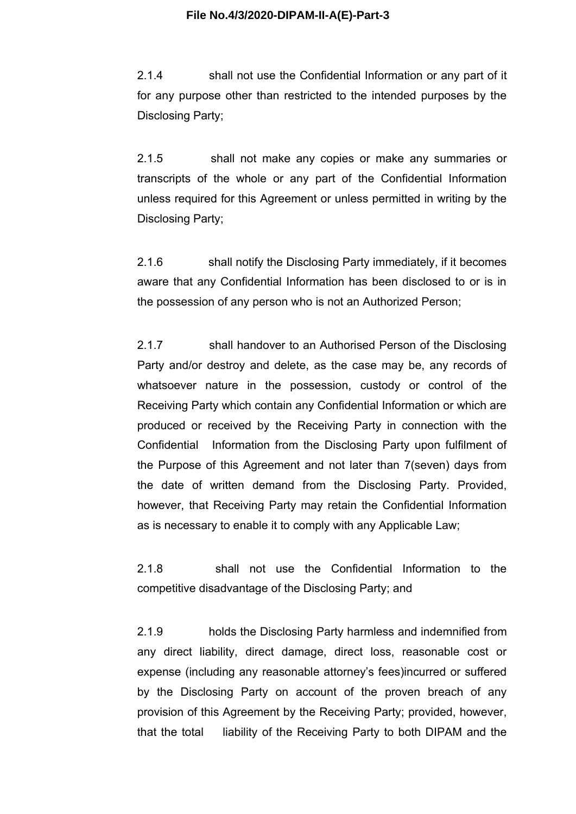2.1.4 shall not use the Confidential Information or any part of it for any purpose other than restricted to the intended purposes by the Disclosing Party;

2.1.5 shall not make any copies or make any summaries or transcripts of the whole or any part of the Confidential Information unless required for this Agreement or unless permitted in writing by the Disclosing Party;

2.1.6 shall notify the Disclosing Party immediately, if it becomes aware that any Confidential Information has been disclosed to or is in the possession of any person who is not an Authorized Person;

2.1.7 shall handover to an Authorised Person of the Disclosing Party and/or destroy and delete, as the case may be, any records of whatsoever nature in the possession, custody or control of the Receiving Party which contain any Confidential Information or which are produced or received by the Receiving Party in connection with the Confidential Information from the Disclosing Party upon fulfilment of the Purpose of this Agreement and not later than 7(seven) days from the date of written demand from the Disclosing Party. Provided, however, that Receiving Party may retain the Confidential Information as is necessary to enable it to comply with any Applicable Law;

2.1.8 shall not use the Confidential Information to the competitive disadvantage of the Disclosing Party; and

2.1.9 holds the Disclosing Party harmless and indemnified from any direct liability, direct damage, direct loss, reasonable cost or expense (including any reasonable attorney's fees)incurred or suffered by the Disclosing Party on account of the proven breach of any provision of this Agreement by the Receiving Party; provided, however, that the total liability of the Receiving Party to both DIPAM and the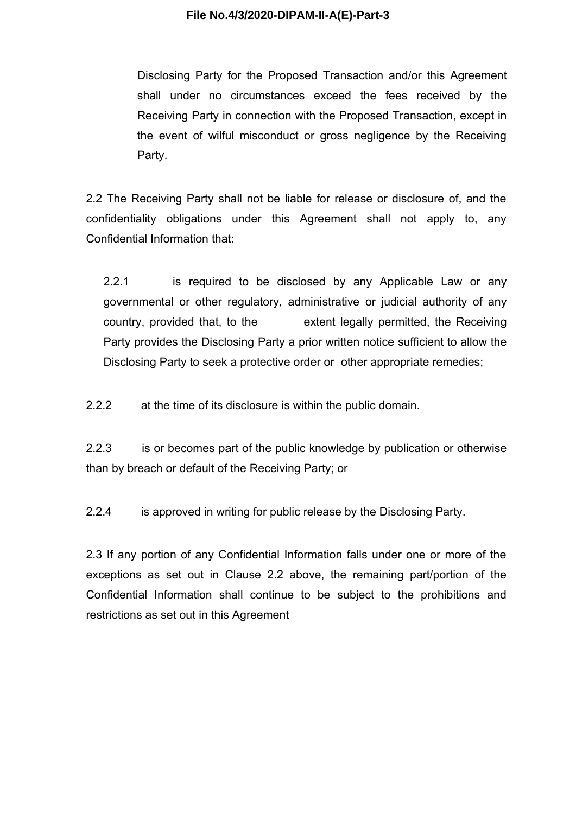Disclosing Party for the Proposed Transaction and/or this Agreement shall under no circumstances exceed the fees received by the Receiving Party in connection with the Proposed Transaction, except in the event of wilful misconduct or gross negligence by the Receiving Party.

2.2 The Receiving Party shall not be liable for release or disclosure of, and the confidentiality obligations under this Agreement shall not apply to, any Confidential Information that:

2.2.1 is required to be disclosed by any Applicable Law or any governmental or other regulatory, administrative or judicial authority of any country, provided that, to the extent legally permitted, the Receiving Party provides the Disclosing Party a prior written notice sufficient to allow the Disclosing Party to seek a protective order or other appropriate remedies;

2.2.2 at the time of its disclosure is within the public domain.

2.2.3 is or becomes part of the public knowledge by publication or otherwise than by breach or default of the Receiving Party; or

2.2.4 is approved in writing for public release by the Disclosing Party.

2.3 If any portion of any Confidential Information falls under one or more of the exceptions as set out in Clause 2.2 above, the remaining part/portion of the Confidential Information shall continue to be subject to the prohibitions and restrictions as set out in this Agreement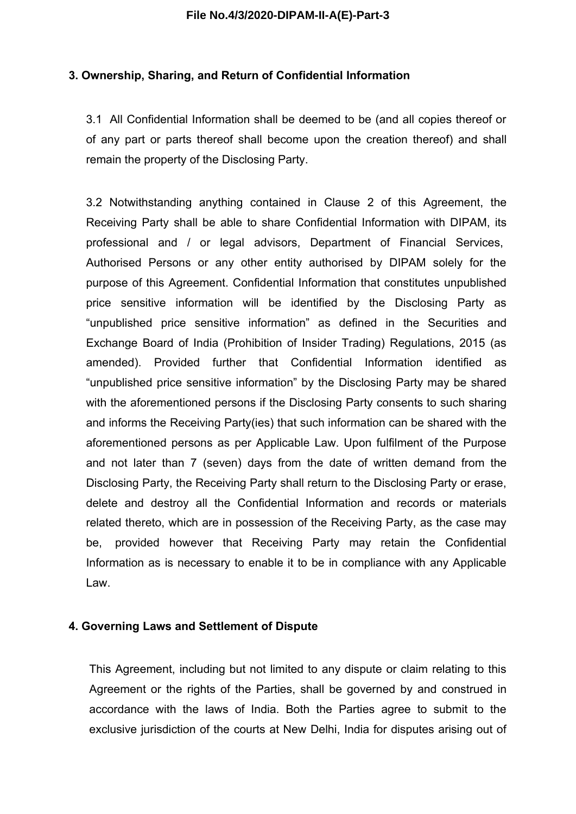#### **3. Ownership, Sharing, and Return of Confidential Information**

3.1 All Confidential Information shall be deemed to be (and all copies thereof or of any part or parts thereof shall become upon the creation thereof) and shall remain the property of the Disclosing Party.

3.2 Notwithstanding anything contained in Clause 2 of this Agreement, the Receiving Party shall be able to share Confidential Information with DIPAM, its professional and / or legal advisors, Department of Financial Services, Authorised Persons or any other entity authorised by DIPAM solely for the purpose of this Agreement. Confidential Information that constitutes unpublished price sensitive information will be identified by the Disclosing Party as "unpublished price sensitive information" as defined in the Securities and Exchange Board of India (Prohibition of Insider Trading) Regulations, 2015 (as amended). Provided further that Confidential Information identified as "unpublished price sensitive information" by the Disclosing Party may be shared with the aforementioned persons if the Disclosing Party consents to such sharing and informs the Receiving Party(ies) that such information can be shared with the aforementioned persons as per Applicable Law. Upon fulfilment of the Purpose and not later than 7 (seven) days from the date of written demand from the Disclosing Party, the Receiving Party shall return to the Disclosing Party or erase, delete and destroy all the Confidential Information and records or materials related thereto, which are in possession of the Receiving Party, as the case may be, provided however that Receiving Party may retain the Confidential Information as is necessary to enable it to be in compliance with any Applicable Law.

#### **4. Governing Laws and Settlement of Dispute**

This Agreement, including but not limited to any dispute or claim relating to this Agreement or the rights of the Parties, shall be governed by and construed in accordance with the laws of India. Both the Parties agree to submit to the exclusive jurisdiction of the courts at New Delhi, India for disputes arising out of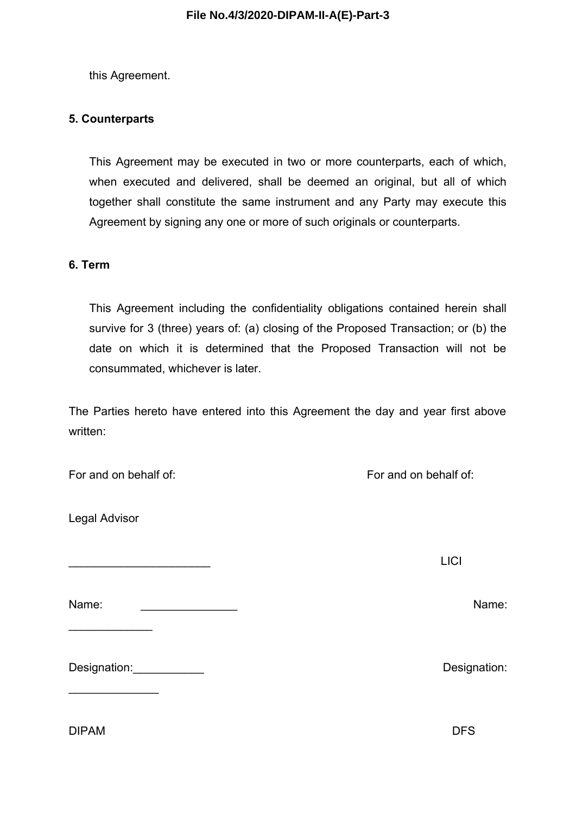this Agreement.

# **5. Counterparts**

This Agreement may be executed in two or more counterparts, each of which, when executed and delivered, shall be deemed an original, but all of which together shall constitute the same instrument and any Party may execute this Agreement by signing any one or more of such originals or counterparts.

#### **6. Term**

This Agreement including the confidentiality obligations contained herein shall survive for 3 (three) years of: (a) closing of the Proposed Transaction; or (b) the date on which it is determined that the Proposed Transaction will not be consummated, whichever is later.

The Parties hereto have entered into this Agreement the day and year first above written:

| For and on behalf of: |  |
|-----------------------|--|
|-----------------------|--|

Legal Advisor

 $\frac{1}{2}$ 

 $\frac{1}{2}$ 

Name: \_\_\_\_\_\_\_\_\_\_\_\_\_\_\_ Name:

Designation:\_\_\_\_\_\_\_\_\_\_\_ Designation:

DIPAM DFS

For and on behalf of:

\_\_\_\_\_\_\_\_\_\_\_\_\_\_\_\_\_\_\_\_\_\_ LICI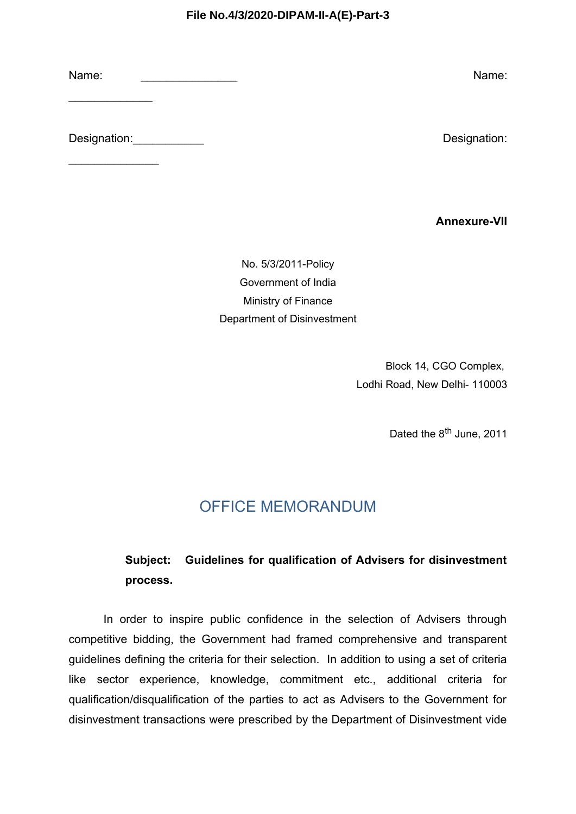Name: \_\_\_\_\_\_\_\_\_\_\_\_\_\_\_ Name:

Designation:\_\_\_\_\_\_\_\_\_\_\_ Designation:

 $\frac{1}{2}$ 

 $\frac{1}{2}$ 

**Annexure-VII**

No. 5/3/2011-Policy Government of India Ministry of Finance Department of Disinvestment

> Block 14, CGO Complex, Lodhi Road, New Delhi- 110003

> > Dated the 8<sup>th</sup> June, 2011

# OFFICE MEMORANDUM

# **Subject: Guidelines for qualification of Advisers for disinvestment process.**

In order to inspire public confidence in the selection of Advisers through competitive bidding, the Government had framed comprehensive and transparent guidelines defining the criteria for their selection. In addition to using a set of criteria like sector experience, knowledge, commitment etc., additional criteria for qualification/disqualification of the parties to act as Advisers to the Government for disinvestment transactions were prescribed by the Department of Disinvestment vide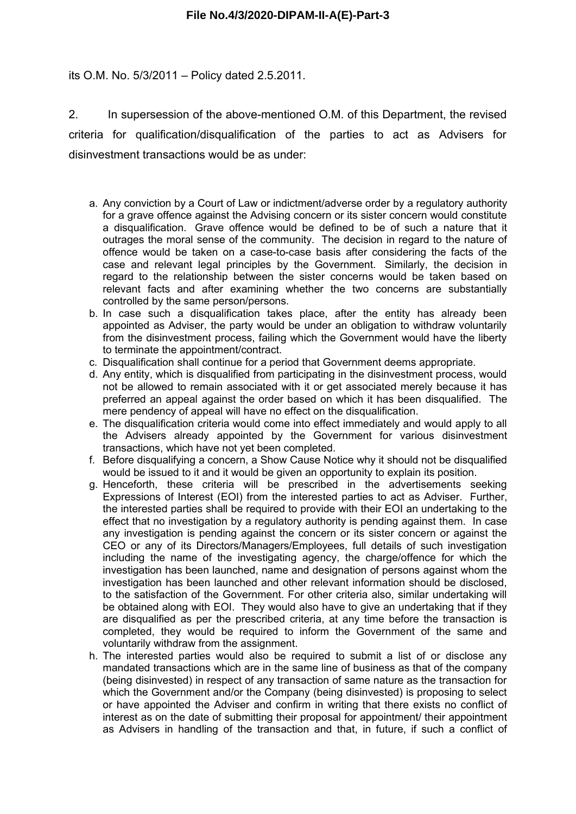#### its O.M. No. 5/3/2011 – Policy dated 2.5.2011.

2. In supersession of the above-mentioned O.M. of this Department, the revised criteria for qualification/disqualification of the parties to act as Advisers for disinvestment transactions would be as under:

- a. Any conviction by a Court of Law or indictment/adverse order by a regulatory authority for a grave offence against the Advising concern or its sister concern would constitute a disqualification. Grave offence would be defined to be of such a nature that it outrages the moral sense of the community. The decision in regard to the nature of offence would be taken on a case-to-case basis after considering the facts of the case and relevant legal principles by the Government. Similarly, the decision in regard to the relationship between the sister concerns would be taken based on relevant facts and after examining whether the two concerns are substantially controlled by the same person/persons.
- b. In case such a disqualification takes place, after the entity has already been appointed as Adviser, the party would be under an obligation to withdraw voluntarily from the disinvestment process, failing which the Government would have the liberty to terminate the appointment/contract.
- c. Disqualification shall continue for a period that Government deems appropriate.
- d. Any entity, which is disqualified from participating in the disinvestment process, would not be allowed to remain associated with it or get associated merely because it has preferred an appeal against the order based on which it has been disqualified. The mere pendency of appeal will have no effect on the disqualification.
- e. The disqualification criteria would come into effect immediately and would apply to all the Advisers already appointed by the Government for various disinvestment transactions, which have not yet been completed.
- f. Before disqualifying a concern, a Show Cause Notice why it should not be disqualified would be issued to it and it would be given an opportunity to explain its position.
- g. Henceforth, these criteria will be prescribed in the advertisements seeking Expressions of Interest (EOI) from the interested parties to act as Adviser. Further, the interested parties shall be required to provide with their EOI an undertaking to the effect that no investigation by a regulatory authority is pending against them. In case any investigation is pending against the concern or its sister concern or against the CEO or any of its Directors/Managers/Employees, full details of such investigation including the name of the investigating agency, the charge/offence for which the investigation has been launched, name and designation of persons against whom the investigation has been launched and other relevant information should be disclosed, to the satisfaction of the Government. For other criteria also, similar undertaking will be obtained along with EOI. They would also have to give an undertaking that if they are disqualified as per the prescribed criteria, at any time before the transaction is completed, they would be required to inform the Government of the same and voluntarily withdraw from the assignment.
- h. The interested parties would also be required to submit a list of or disclose any mandated transactions which are in the same line of business as that of the company (being disinvested) in respect of any transaction of same nature as the transaction for which the Government and/or the Company (being disinvested) is proposing to select or have appointed the Adviser and confirm in writing that there exists no conflict of interest as on the date of submitting their proposal for appointment/ their appointment as Advisers in handling of the transaction and that, in future, if such a conflict of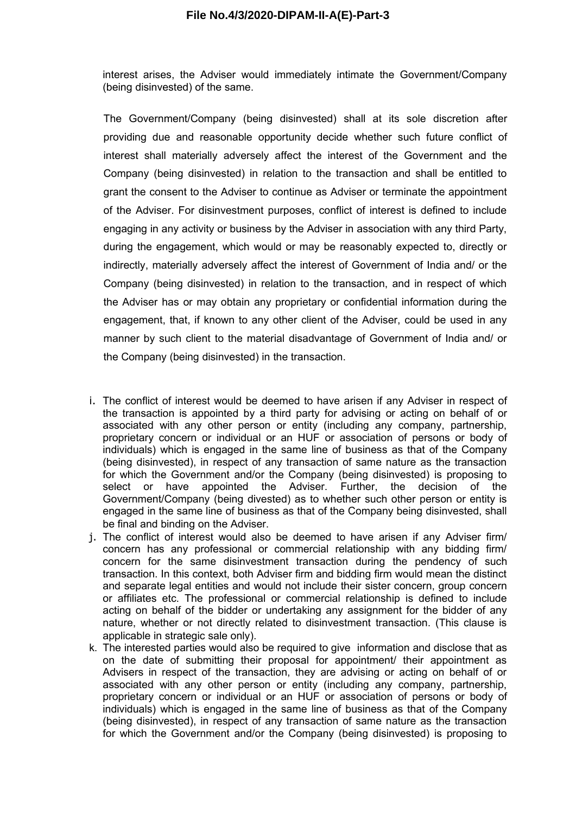interest arises, the Adviser would immediately intimate the Government/Company (being disinvested) of the same.

The Government/Company (being disinvested) shall at its sole discretion after providing due and reasonable opportunity decide whether such future conflict of interest shall materially adversely affect the interest of the Government and the Company (being disinvested) in relation to the transaction and shall be entitled to grant the consent to the Adviser to continue as Adviser or terminate the appointment of the Adviser. For disinvestment purposes, conflict of interest is defined to include engaging in any activity or business by the Adviser in association with any third Party, during the engagement, which would or may be reasonably expected to, directly or indirectly, materially adversely affect the interest of Government of India and/ or the Company (being disinvested) in relation to the transaction, and in respect of which the Adviser has or may obtain any proprietary or confidential information during the engagement, that, if known to any other client of the Adviser, could be used in any manner by such client to the material disadvantage of Government of India and/ or the Company (being disinvested) in the transaction.

- i. The conflict of interest would be deemed to have arisen if any Adviser in respect of the transaction is appointed by a third party for advising or acting on behalf of or associated with any other person or entity (including any company, partnership, proprietary concern or individual or an HUF or association of persons or body of individuals) which is engaged in the same line of business as that of the Company (being disinvested), in respect of any transaction of same nature as the transaction for which the Government and/or the Company (being disinvested) is proposing to select or have appointed the Adviser. Further, the decision of the Government/Company (being divested) as to whether such other person or entity is engaged in the same line of business as that of the Company being disinvested, shall be final and binding on the Adviser.
- j. The conflict of interest would also be deemed to have arisen if any Adviser firm/ concern has any professional or commercial relationship with any bidding firm/ concern for the same disinvestment transaction during the pendency of such transaction. In this context, both Adviser firm and bidding firm would mean the distinct and separate legal entities and would not include their sister concern, group concern or affiliates etc. The professional or commercial relationship is defined to include acting on behalf of the bidder or undertaking any assignment for the bidder of any nature, whether or not directly related to disinvestment transaction. (This clause is applicable in strategic sale only).
- k. The interested parties would also be required to give information and disclose that as on the date of submitting their proposal for appointment/ their appointment as Advisers in respect of the transaction, they are advising or acting on behalf of or associated with any other person or entity (including any company, partnership, proprietary concern or individual or an HUF or association of persons or body of individuals) which is engaged in the same line of business as that of the Company (being disinvested), in respect of any transaction of same nature as the transaction for which the Government and/or the Company (being disinvested) is proposing to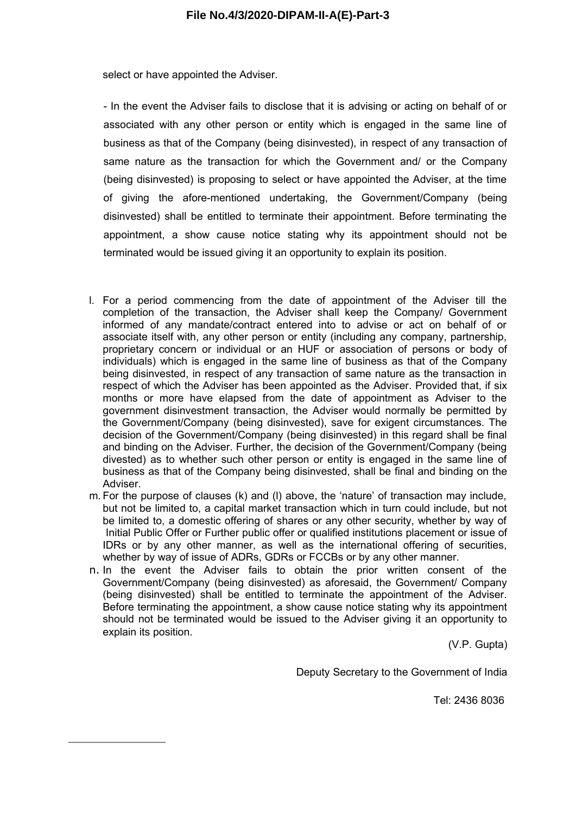select or have appointed the Adviser.

- In the event the Adviser fails to disclose that it is advising or acting on behalf of or associated with any other person or entity which is engaged in the same line of business as that of the Company (being disinvested), in respect of any transaction of same nature as the transaction for which the Government and/ or the Company (being disinvested) is proposing to select or have appointed the Adviser, at the time of giving the afore-mentioned undertaking, the Government/Company (being disinvested) shall be entitled to terminate their appointment. Before terminating the appointment, a show cause notice stating why its appointment should not be terminated would be issued giving it an opportunity to explain its position.

- l. For a period commencing from the date of appointment of the Adviser till the completion of the transaction, the Adviser shall keep the Company/ Government informed of any mandate/contract entered into to advise or act on behalf of or associate itself with, any other person or entity (including any company, partnership, proprietary concern or individual or an HUF or association of persons or body of individuals) which is engaged in the same line of business as that of the Company being disinvested, in respect of any transaction of same nature as the transaction in respect of which the Adviser has been appointed as the Adviser. Provided that, if six months or more have elapsed from the date of appointment as Adviser to the government disinvestment transaction, the Adviser would normally be permitted by the Government/Company (being disinvested), save for exigent circumstances. The decision of the Government/Company (being disinvested) in this regard shall be final and binding on the Adviser. Further, the decision of the Government/Company (being divested) as to whether such other person or entity is engaged in the same line of business as that of the Company being disinvested, shall be final and binding on the Adviser.
- m. For the purpose of clauses (k) and (l) above, the 'nature' of transaction may include, but not be limited to, a capital market transaction which in turn could include, but not be limited to, a domestic offering of shares or any other security, whether by way of Initial Public Offer or Further public offer or qualified institutions placement or issue of IDRs or by any other manner, as well as the international offering of securities, whether by way of issue of ADRs, GDRs or FCCBs or by any other manner.
- n. In the event the Adviser fails to obtain the prior written consent of the Government/Company (being disinvested) as aforesaid, the Government/ Company (being disinvested) shall be entitled to terminate the appointment of the Adviser. Before terminating the appointment, a show cause notice stating why its appointment should not be terminated would be issued to the Adviser giving it an opportunity to explain its position.

(V.P. Gupta)

Deputy Secretary to the Government of India

Tel: 2436 8036